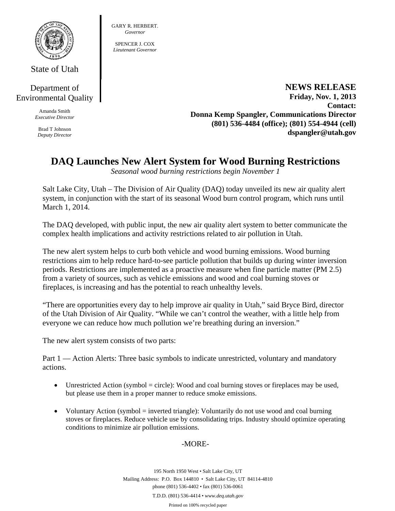

State of Utah

## Department of Environmental Quality

Amanda Smith *Executive Director* 

Brad T Johnson *Deputy Director*  GARY R. HERBERT. *Governor* 

SPENCER LCOX *Lieutenant Governor* 

> **NEWS RELEASE Friday, Nov. 1, 2013 Contact: Donna Kemp Spangler, Communications Director (801) 536-4484 (office); (801) 554-4944 (cell) dspangler@utah.gov**

## **DAQ Launches New Alert System for Wood Burning Restrictions**

*Seasonal wood burning restrictions begin November 1*

Salt Lake City, Utah – The Division of Air Quality (DAQ) today unveiled its new air quality alert system, in conjunction with the start of its seasonal Wood burn control program, which runs until March 1, 2014.

The DAQ developed, with public input, the new air quality alert system to better communicate the complex health implications and activity restrictions related to air pollution in Utah.

The new alert system helps to curb both vehicle and wood burning emissions. Wood burning restrictions aim to help reduce hard-to-see particle pollution that builds up during winter inversion periods. Restrictions are implemented as a proactive measure when fine particle matter (PM 2.5) from a variety of sources, such as vehicle emissions and wood and coal burning stoves or fireplaces, is increasing and has the potential to reach unhealthy levels.

"There are opportunities every day to help improve air quality in Utah," said Bryce Bird, director of the Utah Division of Air Quality. "While we can't control the weather, with a little help from everyone we can reduce how much pollution we're breathing during an inversion."

The new alert system consists of two parts:

Part 1 — Action Alerts: Three basic symbols to indicate unrestricted, voluntary and mandatory actions.

- $\bullet$  Unrestricted Action (symbol = circle): Wood and coal burning stoves or fireplaces may be used, but please use them in a proper manner to reduce smoke emissions.
- Voluntary Action (symbol = inverted triangle): Voluntarily do not use wood and coal burning stoves or fireplaces. Reduce vehicle use by consolidating trips. Industry should optimize operating conditions to minimize air pollution emissions.

## -MORE-

195 North 1950 West • Salt Lake City, UT Mailing Address: P.O. Box 144810 • Salt Lake City, UT 84114-4810 phone (801) 536-4402 • fax (801) 536-0061 T.D.D. (801) 536-4414 • *www.deq.utah.gov*  Printed on 100% recycled paper